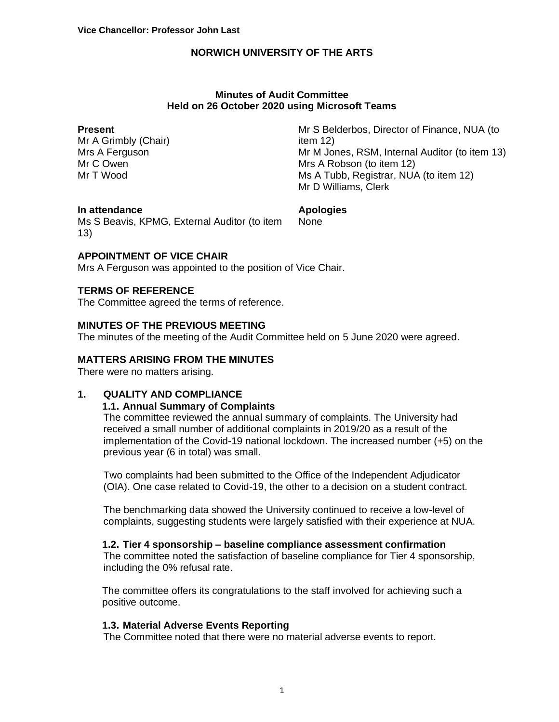#### **Minutes of Audit Committee Held on 26 October 2020 using Microsoft Teams**

#### **Present**

Mr A Grimbly (Chair) Mrs A Ferguson Mr C Owen Mr T Wood

Mr S Belderbos, Director of Finance, NUA (to item 12) Mr M Jones, RSM, Internal Auditor (to item 13) Mrs A Robson (to item 12) Ms A Tubb, Registrar, NUA (to item 12) Mr D Williams, Clerk

#### **In attendance**

Ms S Beavis, KPMG, External Auditor (to item 13)

**Apologies** None

## **APPOINTMENT OF VICE CHAIR**

Mrs A Ferguson was appointed to the position of Vice Chair.

## **TERMS OF REFERENCE**

The Committee agreed the terms of reference.

## **MINUTES OF THE PREVIOUS MEETING**

The minutes of the meeting of the Audit Committee held on 5 June 2020 were agreed.

### **MATTERS ARISING FROM THE MINUTES**

There were no matters arising.

## **1. QUALITY AND COMPLIANCE**

### **1.1. Annual Summary of Complaints**

The committee reviewed the annual summary of complaints. The University had received a small number of additional complaints in 2019/20 as a result of the implementation of the Covid-19 national lockdown. The increased number (+5) on the previous year (6 in total) was small.

Two complaints had been submitted to the Office of the Independent Adjudicator (OIA). One case related to Covid-19, the other to a decision on a student contract.

The benchmarking data showed the University continued to receive a low-level of complaints, suggesting students were largely satisfied with their experience at NUA.

#### **1.2. Tier 4 sponsorship – baseline compliance assessment confirmation**

The committee noted the satisfaction of baseline compliance for Tier 4 sponsorship, including the 0% refusal rate.

The committee offers its congratulations to the staff involved for achieving such a positive outcome.

#### **1.3. Material Adverse Events Reporting**

The Committee noted that there were no material adverse events to report.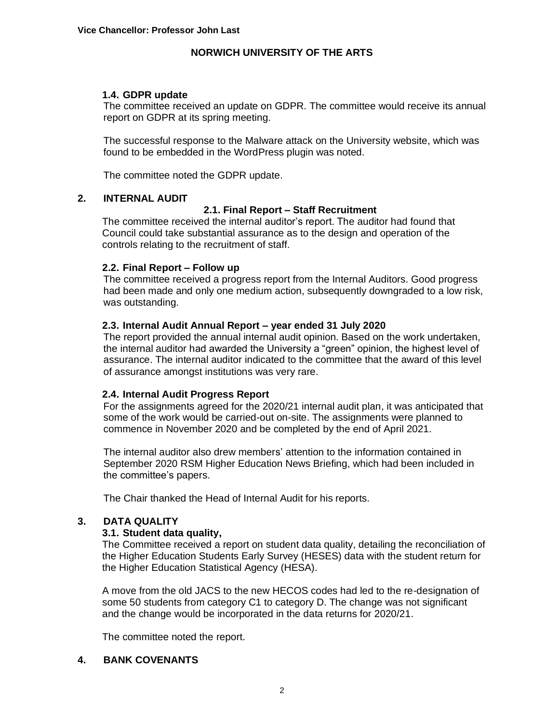## **1.4. GDPR update**

The committee received an update on GDPR. The committee would receive its annual report on GDPR at its spring meeting.

The successful response to the Malware attack on the University website, which was found to be embedded in the WordPress plugin was noted.

The committee noted the GDPR update.

#### **2. INTERNAL AUDIT**

## **2.1. Final Report – Staff Recruitment**

The committee received the internal auditor's report. The auditor had found that Council could take substantial assurance as to the design and operation of the controls relating to the recruitment of staff.

## **2.2. Final Report – Follow up**

The committee received a progress report from the Internal Auditors. Good progress had been made and only one medium action, subsequently downgraded to a low risk, was outstanding.

## **2.3. Internal Audit Annual Report – year ended 31 July 2020**

The report provided the annual internal audit opinion. Based on the work undertaken, the internal auditor had awarded the University a "green" opinion, the highest level of assurance. The internal auditor indicated to the committee that the award of this level of assurance amongst institutions was very rare.

#### **2.4. Internal Audit Progress Report**

For the assignments agreed for the 2020/21 internal audit plan, it was anticipated that some of the work would be carried-out on-site. The assignments were planned to commence in November 2020 and be completed by the end of April 2021.

The internal auditor also drew members' attention to the information contained in September 2020 RSM Higher Education News Briefing, which had been included in the committee's papers.

The Chair thanked the Head of Internal Audit for his reports.

# **3. DATA QUALITY**

#### **3.1. Student data quality,**

The Committee received a report on student data quality, detailing the reconciliation of the Higher Education Students Early Survey (HESES) data with the student return for the Higher Education Statistical Agency (HESA).

A move from the old JACS to the new HECOS codes had led to the re-designation of some 50 students from category C1 to category D. The change was not significant and the change would be incorporated in the data returns for 2020/21.

The committee noted the report.

#### **4. BANK COVENANTS**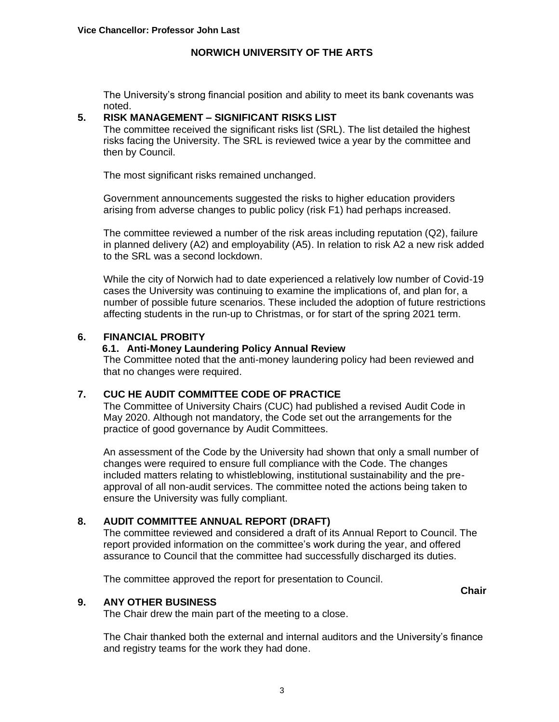The University's strong financial position and ability to meet its bank covenants was noted.

## **5. RISK MANAGEMENT – SIGNIFICANT RISKS LIST**

The committee received the significant risks list (SRL). The list detailed the highest risks facing the University. The SRL is reviewed twice a year by the committee and then by Council.

The most significant risks remained unchanged.

Government announcements suggested the risks to higher education providers arising from adverse changes to public policy (risk F1) had perhaps increased.

The committee reviewed a number of the risk areas including reputation (Q2), failure in planned delivery (A2) and employability (A5). In relation to risk A2 a new risk added to the SRL was a second lockdown.

While the city of Norwich had to date experienced a relatively low number of Covid-19 cases the University was continuing to examine the implications of, and plan for, a number of possible future scenarios. These included the adoption of future restrictions affecting students in the run-up to Christmas, or for start of the spring 2021 term.

## **6. FINANCIAL PROBITY**

## **6.1. Anti-Money Laundering Policy Annual Review**

The Committee noted that the anti-money laundering policy had been reviewed and that no changes were required.

## **7. CUC HE AUDIT COMMITTEE CODE OF PRACTICE**

The Committee of University Chairs (CUC) had published a revised Audit Code in May 2020. Although not mandatory, the Code set out the arrangements for the practice of good governance by Audit Committees.

An assessment of the Code by the University had shown that only a small number of changes were required to ensure full compliance with the Code. The changes included matters relating to whistleblowing, institutional sustainability and the preapproval of all non-audit services. The committee noted the actions being taken to ensure the University was fully compliant.

## **8. AUDIT COMMITTEE ANNUAL REPORT (DRAFT)**

The committee reviewed and considered a draft of its Annual Report to Council. The report provided information on the committee's work during the year, and offered assurance to Council that the committee had successfully discharged its duties.

The committee approved the report for presentation to Council.

**Chair**

#### **9. ANY OTHER BUSINESS**

The Chair drew the main part of the meeting to a close.

The Chair thanked both the external and internal auditors and the University's finance and registry teams for the work they had done.